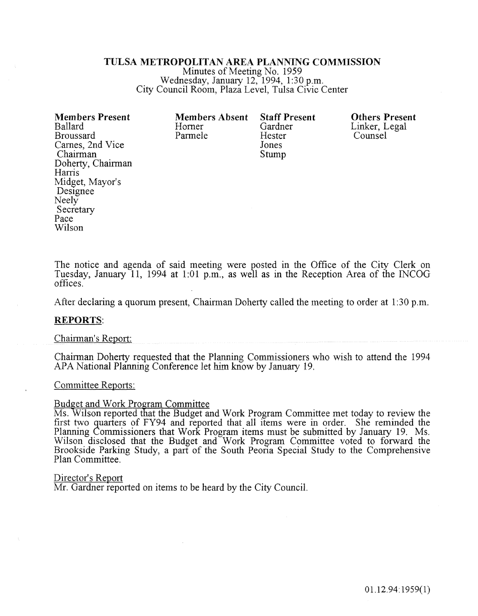#### TULSA METROPOLITAN AREA PLANNING COMMISSION

Minutes of Meeting No. 1959 Wednesday, January 12, 1994, 1:30 p.m. City Council Room, Plaza Level, Tulsa Civic Center

| <b>Members Present</b><br><b>Ballard</b><br><b>Broussard</b><br>Carnes, 2nd Vice<br>Chairman<br>Doherty, Chairman<br>Harris<br>Midget, Mayor's | <b>Members Absent</b><br>Horner<br>Parmele | <b>Staff Present</b><br>Gardner<br>Hester<br>Jones<br>Stump | <b>Others Present</b><br>Linker, Legal<br>Counsel |
|------------------------------------------------------------------------------------------------------------------------------------------------|--------------------------------------------|-------------------------------------------------------------|---------------------------------------------------|
| Designee                                                                                                                                       |                                            |                                                             |                                                   |
| Neely                                                                                                                                          |                                            |                                                             |                                                   |
| Secretary                                                                                                                                      |                                            |                                                             |                                                   |
| Pace                                                                                                                                           |                                            |                                                             |                                                   |
| Wilson                                                                                                                                         |                                            |                                                             |                                                   |

The notice and agenda of said meeting were posted in the Office of the City Clerk on Tuesday, January 11, 1994 at 1:01 p.m., as well as in the Reception Area of the INCOG offices.

After declaring a quorum present, Chairman Doherty cailed the meeting to order at 1:30 p.m.

#### REPORTS:

#### Chairman's Report:

Chairman Doherty requested that the Planning Commissioners who wish to attend the 1994 APA National Planning Conference let him know by January 19.

#### Committee Reports:

#### **Budget and Work Program Committee**

Ms. Wilson reported that the Budget and Work Program Committee met today to review the first tvvo quarters of FY94 and reported that all items were in order. She reminded the Planning Commissioners that Work Program items must be submitted by January 19. Ms. Wilson disclosed that the Budget and Work Program Committee voted to forward the Brookside Parking Study, a part of the South Peoria Special Study to the Comprehensive Plan Committee.

#### Director's Report

Mr. Gardner reported on items to be heard by the City Council.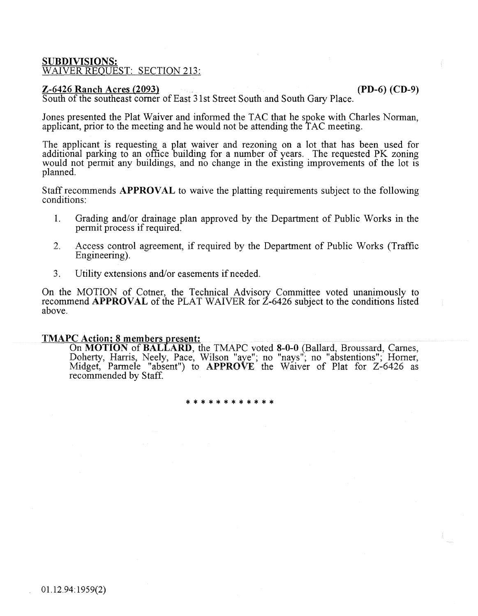## SUBDIVISIONS: WAIVER REOUEST: SECTION 213:

# $Z$ -6426 Ranch Acres (2093) (PD-6) (CD-9)

South of the southeast comer of East 31st Street South and South Gary Place.

Jones presented the Plat Waiver and informed the TAC that he spoke with Charles Norman, applicant, prior to the meeting and he would not be attending the 1 AC meeting.

The applicant is requesting a plat waiver and rezoning on a lot that has been used for additional parking to an office building for a number of years. The requested PK zoning would not permit any buildings, and no change in the existing improvements of the lot is planned.

Staff recommends APPROVAL to waive the platting requirements subject to the following conditions:

- 1. Grading and/or drainage plan approved by the Department of Public Works in the permit process if required.
- 2. Access control agreement, if required by the Department of Public Works (Traffic Engineering).
- 3. Utility extensions and/or easements if needed.

On the MOTION of Cotner, the Technical Advisory Committee voted unanimously to recommend APPROVAL of the PLAT WAIVER for Z-6426 subject to the conditions listed above.

# TMAPC Action; 8 members present:

On MOTION of BALLARD, the TMAPC voted 8-0-0 (Ballard, Broussard, Carnes, Doherty, Harris, Neely, Pace, Wilson "aye"; no "nays"; no "abstentions"; Homer, Midget, Parmele "absent") to APPROVE the Waiver of Plat for Z-6426 as recommended by Staff.

\*\*\*\*\*\*\*\*\*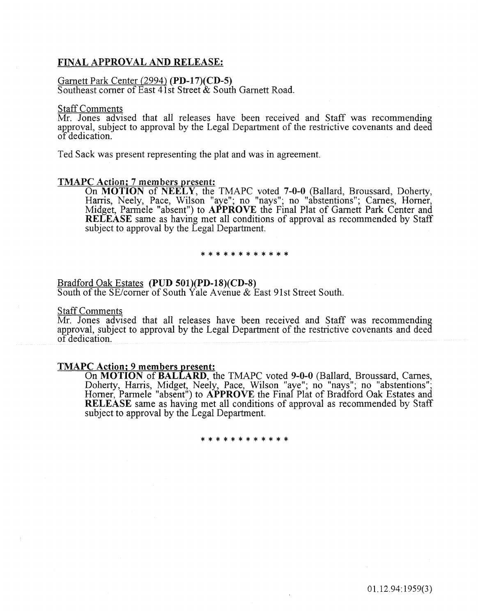## FINAL APPROVAL AND RELEASE:

#### Garnett Park Center (2994) (PD-17)(CD-5)

Southeast comer of East 41st Street & South Garnett Road.

#### Staff Comments

Mr. Jones advised that all releases have been received and Staff was recommending approval, subject to approval by the Legal Department of the restrictive covenants and deed of dedication.

Ted Sack was present representing the plat and was in agreement.

#### TMAPC Action; 7 members present:

On MOTION of NEELY, the TMAPC voted 7-0-0 (Ballard, Broussard, Doherty, Harris, Neely, Pace, Wilson "aye"; no "nays"; no "abstentions"; Carnes, Homer, Midget, Parmele "absent") to APPROVE the Final Plat of Garnett Park Center and RELEASE same as having met all conditions of approval as recommended by Staff subject to approval by the Legal Department.

\* \* \* \* \* \* \* \* \* \* \* \*

# Bradford Oak Estates (PUD 501)(PD-18)(CD-8)

South of the SE/corner of South Yale Avenue  $&$  East 91st Street South.

#### Staff Comments

Mr. Jones advised that all releases have been received and Staff was recommending approval, subject to approval by the Legal Department of the restrictive covenants and deed of dedication.

#### TMAPC Action; 9 members present:

On MOTION of BALLARD, the TMAPC voted 9-0-0 (Ballard, Broussard, Carnes, Doherty, Harris, Midget, Neely, Pace, Wilson "aye"; no "nays"; no "abstentions";<br>Horner, Parmele "absent") to APPROVE the Final Plat of Bradford Oak Estates and RELEASE same as having met all conditions of approval as recommended by Staff subject to approval by the Legal Department.

\*\*\*\*\*\*\*\*\*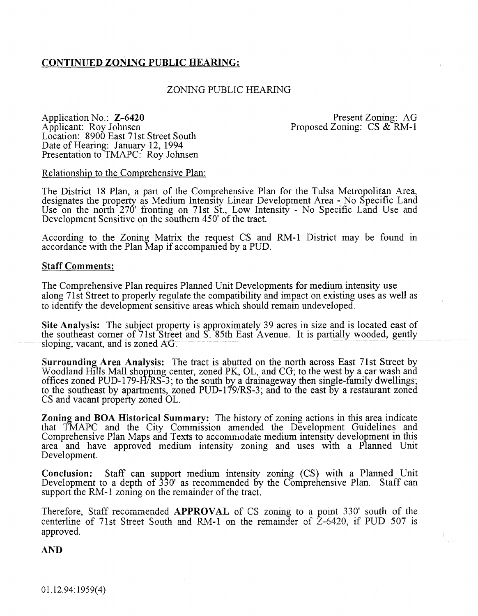# CONTINUED ZONING PUBLIC HEARING:

# ZONING PUBLIC HEARING

Application No.: Z-6420 Applicant: Roy Johnsen Location: 8900 East 71st Street South Date of Hearing: January 12, 1994 Presentation to TMAPC: Roy Johnsen

Present Zoning: AG Proposed Zoning: CS & RM-1

Relationship to the Comprehensive Plan:

The District 18 Plan, a part of the Comprehensive Plan for the Tulsa Metropolitan Area, designates the property as Medium Intensity Linear Development Area- No Specific Land Use on the north 270' fronting on 71st St., Low Intensity - No Specific Land Use and Development Sensitive on the southern 450' of the tract.

According to the Zoning Matrix the request CS and RM -1 District may be found in accordance with the Plan Map if accompanied by a PUD.

#### Staff Comments:

The Comprehensive Plan requires Planned Unit Developments for medium intensity use along 71st Street to properly regulate the compatibility and impact on existing uses as well as to identify the development sensitive areas which should remain undeveloped.

Site Analysis: The subject property is approximately 39 acres in size and is located east of the southeast comer of 71st Street and S. 85th East Avenue. It is partially wooded, gently sloping, vacant, and is zoned AG.

Surrounding Area Analysis: The tract is abutted on the north across East 71st Street by Woodland Hills Mall shopping center, zoned PK, OL, and CG; to the west by a car wash and offices zoned PUD-179-H/RS-3; to the south by a drainageway then single-family dwellings; to the southeast by apartments, zoned PUD-179/RS-3; and to the east by a restaurant zoned CS and vacant property zoned OL.

Zoning and BOA Historical Summary: The history of zoning actions in this area indicate that TMAPC and the City Commission amended the Development Guidelines and Comprehensive Plan Maps and Texts to accommodate medium intensity development in this area and have approved medium intensity zoning and uses with a Planned Unit Development.

Conclusion: Staff can support medium intensity zoning (CS) with a Planned Unit Development to a depth of 330' as recommended by the Comprehensive Plan. Staff can support the RM-1 zoning on the remainder of the tract.

Therefore, Staff recommended APPROVAL of CS zoning to a point 330' south of the centerline of 71st Street South and RM-1 on the remainder of  $\overline{Z}$ -6420, if PUD 507 is approved.

AND

01.12.94: 1959( 4)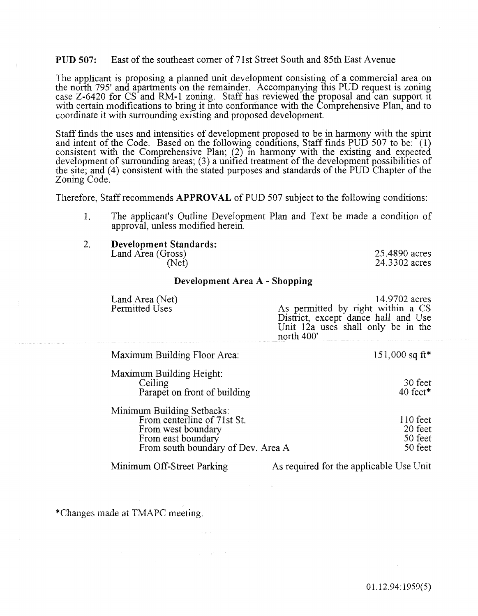#### PUD 507: East of the southeast comer of71st Street South and 85th East Avenue

The applicant is proposing a planned unit development consisting of a commercial area on the north 795' and apartments on the remainder. Accompanying this PUD request is zoning case Z-6420 for CS and RM-1 zoning. Staff has reviewed the proposal and can support tt with certain modifications to bring it into conformance with the Comprehensive Plan, and to coordinate it with surrounding existing and proposed development.

Staff fmds the uses and intensities of development proposed to be in harmony with the spirit and intent of the Code. Based on the following conditions, Staff finds PUD 507 to be:  $(1)$ consistent with the Comprehensive Plan;  $(2)$  in harmony with the existing and expected development of surrounding areas; (3) a unified treatment of the development possibilities of the site; and (4) consistent with the stated purposes and standards of the PUD Chapter of the Zoning Code.

Therefore, Staff recommends APPROVAL of PUD 507 subject to the following conditions:

- 1. The applicant's Outline Development Plan and Text be made a condition of approval, unless modified herein.
- 2. Development Standards: Land Area (Gross)

(Net)

25.4890 acres 24.3302 acres

#### Development Area A - Shopping

| Land Area (Net)<br>Permitted Uses                                                                                                                  | 14.9702 acres<br>As permitted by right within a CS<br>District, except dance hall and Use<br>Unit 12a uses shall only be in the<br>north 400' |
|----------------------------------------------------------------------------------------------------------------------------------------------------|-----------------------------------------------------------------------------------------------------------------------------------------------|
| <b>Maximum Building Floor Area:</b>                                                                                                                | 151,000 sq ft*                                                                                                                                |
| Maximum Building Height:<br>Ceiling<br>Parapet on front of building                                                                                | 30 feet<br>$40 \text{ feet}^*$                                                                                                                |
| <b>Minimum Building Setbacks:</b><br>From centerline of 71st St.<br>From west boundary<br>From east boundary<br>From south boundary of Dev. Area A | $110 \text{ feet}$<br>20 feet<br>50 feet<br>50 feet                                                                                           |
| Minimum Off-Street Parking                                                                                                                         | As required for the applicable Use Unit                                                                                                       |

\*Changes made at TMAPC meeting.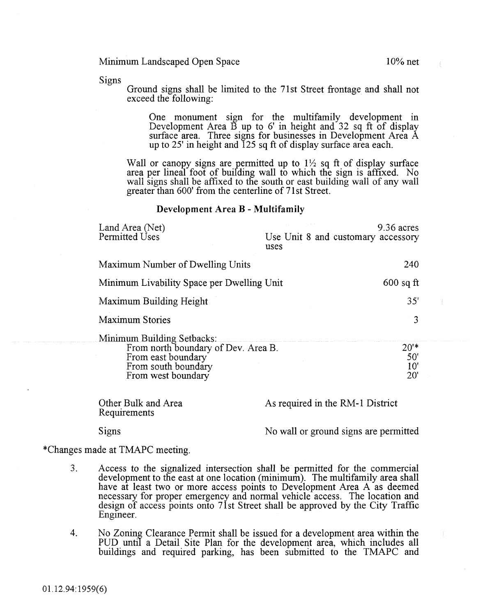Signs

Ground signs shall be limited to the 71 st Street frontage and shall not exceed the following:

One monument sign for the multifamily development in Development Area  $\overrightarrow{B}$  up to 6' in height and 32 sq ft of display surface area. Three signs for businesses in Development Area A up to 25' in height and 125 sq ft of display surface area each.

Wall or canopy signs are permitted up to  $1\frac{1}{2}$  sq ft of display surface area per lineal foot of building wall to which the sign is affixed. No wall signs shall be affixed to the south or east building wall of any wall greater than 600' from the centerline of 71st Street.

#### Development Area B - Multifamily

| Land Area (Net)<br>Permitted Uses                                                                                                    | uses                             |  | 9.36 acres<br>Use Unit 8 and customary accessory |
|--------------------------------------------------------------------------------------------------------------------------------------|----------------------------------|--|--------------------------------------------------|
| Maximum Number of Dwelling Units                                                                                                     |                                  |  | 240                                              |
| Minimum Livability Space per Dwelling Unit                                                                                           |                                  |  | $600$ sq ft                                      |
| Maximum Building Height                                                                                                              |                                  |  | 35'                                              |
| <b>Maximum Stories</b>                                                                                                               |                                  |  | 3                                                |
| Minimum Building Setbacks:<br>From north boundary of Dev. Area B.<br>From east boundary<br>From south boundary<br>From west boundary |                                  |  | $20'$ *<br>50'<br>10'<br>20'                     |
| Other Bulk and Area                                                                                                                  | As required in the RM-1 District |  |                                                  |

Requirements

Signs No wall or ground signs are permitted

\*Changes made at TMAPC meeting.

- 3. Access to the signalized intersection shall be permitted for the commercial development to the east at one location (minimum). The multifamily area shall have at least two or more access points to Development Area A as deemed necessary for proper emergency and normal vehicle access. The location and design of access points onto 71st Street shall be approved by the City Traffic Engineer.
- 4. No Zoning Clearance Permit shall be issued for a development area within the PUD until a Detail Site Plan for the development area, which includes all buildings and required parking, has been submitted to the TMAPC and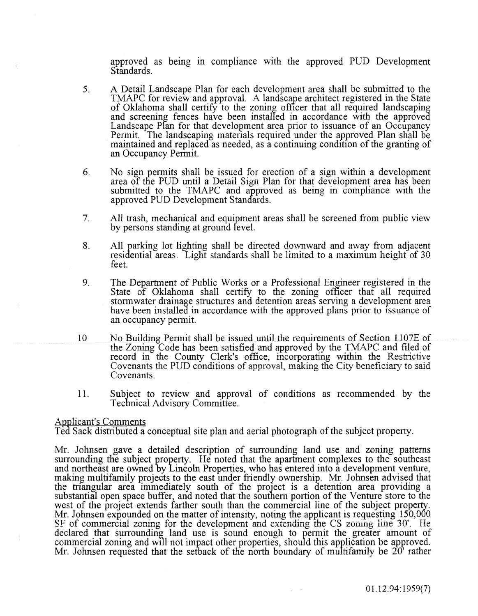approved as being in compliance with the approved PUD Development Standards.

- 5. A Detail Landscape Plan for each development area shall be submitted to the TMAPC for review and approval. A landscape architect registered in the State of Oklahoma shall certify to the zoning officer that all required landscaping and screening fences have been installed in accordance with the approved Landscape Plan for that development area prior to issuance of an Occupancy Permit. The landscaping materials required under the approved Plan shall be maintained and replaced as needed, as a continuing condition of the granting of an Occupancy Permit.
- 6. No sign permits shall be issued for erection of a sign within a development area of the PUD until a Detail Sign Plan for that development area has been submitted to the TMAPC and approved as being in compliance with the approved PUD Development Standards.
- 7. All trash, mechanical and equipment areas shall be screened from public view by persons standing at ground level.
- 8. All parking lot lighting shall be directed downward and away from adjacent residential areas. Light standards shall be limited to a maximum height of 30 feet.
- 9. The Department of Public Works or a Professional Engineer registered in the State of Oklahoma shall certify to the zoning officer that all required stormwater drainage structures and detention areas serving a development area have been installed in accordance with the approved plans prior to issuance of an occupancy permit.
- 10 No Building Permit shall be issued until the requirements of Section 1107E of the Zoning Code has been satisfied and approved by the TMAPC and filed of record in the County Clerk's office, incorporating within the Restrictive Covenants the PUD conditions of approval, making the City beneficiary to said Covenants.
- 11. Subject to review and approval of conditions as recommended by the Technical Advisory Committee.

# Applicant's Comments

Ted Sack distributed a conceptual site plan and aerial photograph of the subject property.

Mr. Johnsen gave a detailed description of surrounding land use and zoning patterns surrounding the subject property. He noted that the apartment complexes to the southeast and northeast are owned by Lincoln Properties, who has entered into a development venture, making multifamily projects to the east under friendly ownership. Mr. Johnsen advised that the triangular area immediately south of the proJect is a detention area providing a substantial open space buffer, and noted that the southern portion of the Venture store to the west of the project extends farther south than the commercial line of the subject property. Mr. Johnsen expounded on the matter of intensity, noting the applicant is requesting 150,000 SF of commercial zoning for the development and extending the CS zoning line 30'. He declared that surrounding land use is sound enough to permit the greater amount of commercial zoning and will not impact other properties, should this application be approved. Mr. Johnsen requested that the setback of the north boundary of multifamily be 20<sup>'</sup> rather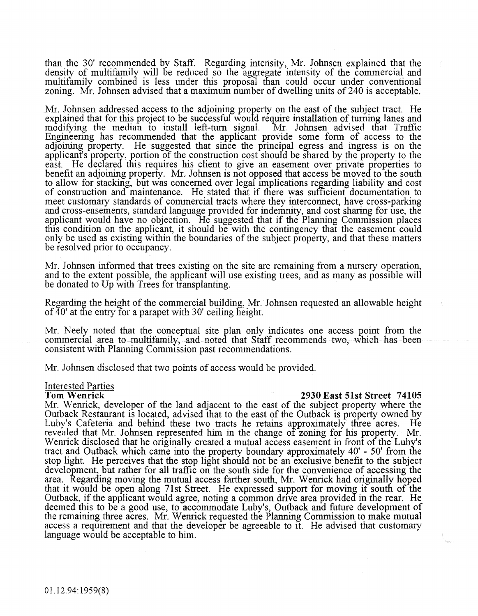than the 30' recommended by Staff. Regarding intensity, Mr. Johnsen explained that the density of multifamily will be reduced so the aggregate intensity of the commercial and multifamily combined is less under this proposal than could occur under conventional zoning. Mr. Johnsen advised that a maximum number of dwelling units of240 is acceptable.

Mr. Johnsen addressed access to the adjoining property on the east of the subject tract. He explained that for this project to be successful would require installation of turning lanes and modifying the median to install left-tum signal. Mr. Johnsen advised that Traffic Engineenng has recommended that the applicant provide some form of access to the adjoining property. He suggested that since the principal egress and ingress is on the applicant's property, portion of the construction cost should be shared by the property to the east. He declared this requires his client to give an easement over private properties to benefit an adjoining property. Mr. Johnsen is not opposed that access be moved to the south to allow for stacking, but was concerned over legal Implications regarding liability and cost of construction and maintenance. He stated that if tliere was sufficient documentation to meet customary standards of commercial tracts where they interconnect, have cross-parking and cross-easements, standard language provided for indemnity, and cost sharing for use, the applicant would have no objection. He suggested that if the Planning Commission places this condition on the applicant, it should be with the contingency that the easement could only be used as existing within the boundaries of the subject property, and that these matters  $\Phi$  resolved prior to occupancy.

Mr. Johnsen informed that trees existing on the site are remaining from a nursery operation, and to the extent possible, the applicant will use existing trees, and as many as possible will be donated to Up with Trees for transplanting.

Regarding the height of the commercial building, Mr. Johnsen requested an allowable height of  $40'$  at the entry for a parapet with 30' ceiling height.

Mr. Neely noted that the conceptual site plan only indicates one access point from the commercial area to multifamily, and noted that Staff recommends two, which has been consistent with Planning Commission past recommendations.

Mr. Johnsen disclosed that two points of access would be provided.

# **Interested Parties**<br>Tom Wenrick

#### 2930 East 51st Street 74105

Mr. Wenrick, developer of the land adjacent to the east of the subject property where the Outback Restaurant is located, advised that to the east of the Outback is property owned by Luby's Cafeteria and behind these two tracts he retains approximately three acres. He Luby's Cafeteria and behind these two tracts he retains approximately three acres. revealed that Mr. Johnsen represented him in the change of zoning for his property. Mr. Wenrick disclosed that he originally created a mutual access easement in front of the Luby's tract and Outback which came into the property boundary approximately 40' - 50' from the stop light. He perceives that the stop light should not be an exclusive benefit to the subject development, but rather for all traffic on the south side for the convenience of accessing the area. Regarding moving the mutual access farther south, Mr. Wenrick had originally hoped that it would be open along 7lst Street. He expressed support for moving it south of the Outback, if the applicant would agree, noting a common drive area provided in the rear. He deemed this to be a good use, to accommodate Luby's, Outback and future development of the remaining three acres. Mr. Wenrick requested the Planning Commission to make mutual access a requirement and that the developer be agreeable to it. He advised that customary language would be acceptable to him.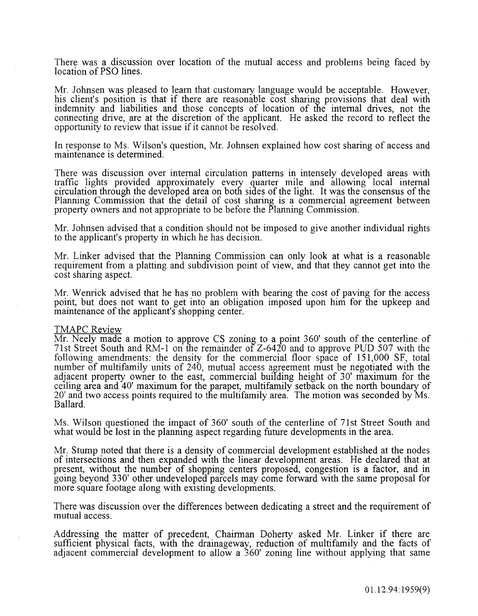There was a discussion over location of the mutual access and problems being faced by location of PSO lines.

Mr. Johnsen was pleased to learn that customary language would be acceptable. However, his client's position is that if there are reasonable cost sharing provisions that deal with indemnity and liabilities and those concepts of location of the internal drives, not the connecting drive, are at the discretion of the applicant. He asked the record to reflect the opportunity to review that issue if it cannot be resolved.

In response to Ms. Wilson's question, Mr. Johnsen explained how cost sharing of access and maintenance is determined.

There was discussion over internal circulation patterns in intensely developed areas with traffic lights provided approximately every quarter mile and ailowing local internal circulation through the developed area on both sides of the light. It was the consensus of the Planning Commission that the detail of cost sharing is a commercial agreement between property owners and not appropriate to be before the Planning Commission.

Mr. Johnsen advised that a condition should not be imposed to give another individual rights to the applicant's property in which he has decision.

Mr. Linker advised that the Planning Commission can only look at what is a reasonable requirement from a platting and subdivision point of view, and that they cannot get into the cost sharing aspect.

Mr. Wenrick advised that he has no problem with bearing the cost of paving for the access point, but does not want to get into an obligation imposed upon him for the upkeep and maintenance of the applicant's shopping center.

#### TMAPC Review

Mr. Neely made a motion to approve CS zoning to a point 360' south of the centerline of 7lst Street South and R.M-1 on ihe remainder of Z-6420 and to approve PUD 507 with the following amendments: the density for the commercial floor space of 151,000 SF, total number of multifamily units of 240, mutual access agreement must be negotiated with the adjacent property owner to the east, commercial building height of 30' maximum for the ceiling area and 40' maximum for the parapet, multifamily setback on the north boundary of 20' and two access points required to the multifamily area. The motion was seconded by Ms. Ballard.

Ms. Wilson questioned the impact of 360' south of the centerline of 71st Street South and what would be lost in the planning aspect regarding future developments in the area.

Mr. Stump noted that there is a density of commercial development established at the nodes of intersections and then expanded w1th the linear development areas. He declared that at present, without the number of shopping centers proposed, congestion is a factor, and in going beyond 330' other undeveloped parcels may come forward with the same proposal for more square footage along with existing developments.

There was discussion over the differences between dedicating a street and the requirement of mutual access.

Addressing the matter of precedent, Chairman Doherty asked Mr. Linker if there are sufficient physical facts, with the drainageway, reduction of multifamily and the facts of adjacent commercial development to allow a 360' zoning line without applying that same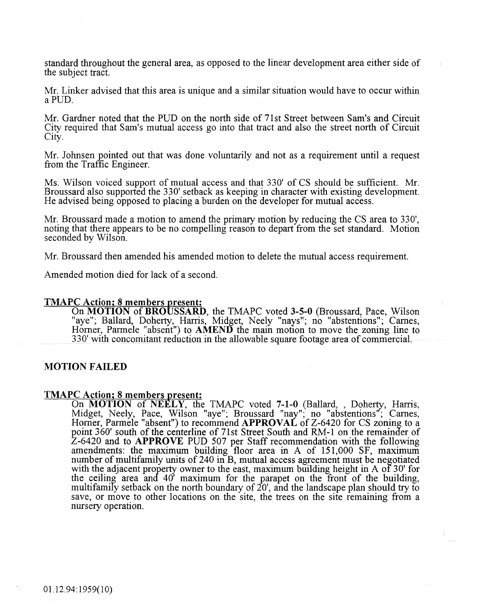standard throughout the general area, as opposed to the linear development area either side of the subject tract.

Mr. Linker advised that this area is unique and a similar situation would have to occur within aPUD.

Mr. Gardner noted that the PUD on the north side of 71st Street between Sam's and Circuit City required that Sam's mutual access go into that tract and also the street north of Circuit. City.

Mr. Johnsen pointed out that was done voluntarily and not as a requirement until a request from the Traffic Engineer.

Ms. Wilson voiced support of mutual access and that 330' of CS should be sufficient. Mr. Broussard also supported the 330' setback as keeping in character with existing development. He advised being opposed to placing a burden on the developer for mutual access.

Mr. Broussard made a motion to amend the primary motion by reducing the CS area to 330', noting that there appears to be no compelling reason to depart from the set standard. Motion seconded by Wilson.

Mr. Broussard then amended his amended motion to delete the mutual access requirement.

Amended motion died for lack of a second.

#### TMAPC Action; 8 members present:

On MOTION of BROUSSARD, the TMAPC voted 3-5-0 (Broussard, Pace, Wilson "aye"; Ballard, Doherty, Harris, Midget, Neely "nays"; no "abstentions"; Carnes, Horner, Parmele "absent") to AMEND the main motion to move the zoning line to 330' with concomitant reduction in the allowable square footage area of commercial.

#### MOTION FAILED

# TMAPC Action; 8 members present:

On MOTION of NEELY, the TMAPC voted 7-1-0 (Ballard, , Doherty, Harris, Midget, Neely, Pace, Wilson "aye"; Broussard "nay"; no "abstentions"; Carnes, Horner, Parmele "absent") to recommend APPROVAL of Z-6420 for CS zoning to a point 360' south of the centerline of 71st Street South and RM-1 on the remainder of Z-6420 and to APPROVE PUD 507 per Staff recommendation with the following amendments: the maximum building floor area in A of 151,000 SF, maximum number of multifamily units of 240 in B, mutual access agreement must be negotiated with the adjacent property owner to the east, maximum building height in A of 30' for the ceiling area and 40' maximum for the parapet on the front of the building, multifamily setback on the north boundary of 20', and the landscape plan should try to save, or move to other locations on the site, the trees on the site remaining from a nursery operation.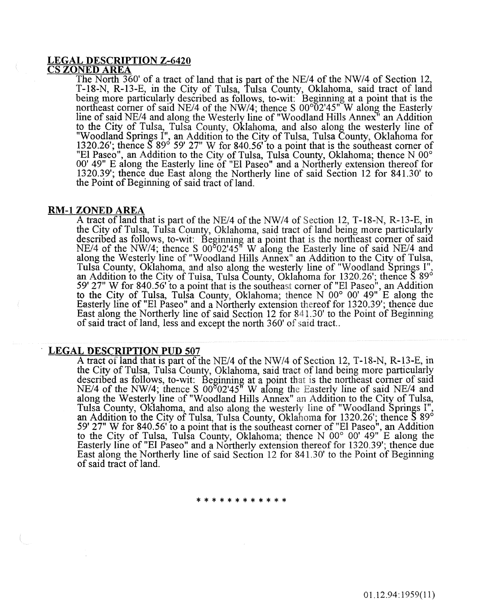#### LEGAL DESCRIPTION Z-6420 CS ZONED AREA

The North 360' of a tract of land that is part of the NE/4 of the NW/4 of Section 12, T-18-N, R-13-E, in the City of Tulsa, Tulsa County, Oklahoma, said tract of land being more particularly described as follows, to-wit: Beginning at a point that is the northeast corner of said NE/4 of the NW/4; thence S  $00^{\circ}02'45''$  W along the Easterly line of said NE/4 and along the Westerly line of "Woodland Hills Annex" an Addition to the City of Tulsa, Tulsa County, OKlahoma, and also along the westerly line of "Woodland Springs I", an Addition to the City of Tulsa, Tulsa County, Oklahoma for 1320.26'; thence S 89° 59' 27" W for 840.56' to a point that is the southeast corner of "El Paseo", an Addition to the City of Tulsa, Tulsa County, Oklahoma; thence N 00° 00' 49" E along the Easterly line of "El Paseo" and a Northerly extension thereof for 1320.39'; thence due East along the Northerly line of said Section 12 for 841.30' to the Point of Beginning of said tract of land.

#### RM-1 ZONED AREA

A tract of land that is part of the NE/4 of the NW/4 of Section 12, T-18-N, R-13-E, in the City of Tulsa, Tulsa County, Oklahoma, said tract of land being more particularly described as follows, to-wit: Beginning at a point that is the northeast corner of said NE/4 of the NW/4; thence S  $00^802'45''$  W along the Easterly line of said NE/4 and along the Westerly line of "Woodland Hills Annex" an Addition to the City of Tulsa, Tulsa County, Oklahoma, and also along the westerly line of "Woodland Springs I", an Addition to the City of Tulsa, Tulsa County, Oklahoma for 1320.26'; thence S 89° 59' 27" W for 840.56' to a point that is the southeast corner of"El Paseo", an Addition to the City of Tulsa, Tulsa County, Oklahoma; thence N 00° 00' 49" E along the Easterly line of "El Paseo" and a Northerly extension thereof for 1320.39'; thence due East along the Northerly line of said Section 12 for 841.30' to the Point of Beginning of said tract of land, less and except the north 360' of said tract..

#### LEGAL DESCRIPTION PUD 507

A tract of land that is part of the NE/4 of the NW/4 of Section 12, T-18-N, R-13-E, in the City of Tulsa, Tulsa County, Oklahoma, said tract of land being more particularly described as follows, to-wit: Beginning at a point that is the northeast corner of said NE/4 of the NW/4; thence S  $00^{\circ}02'45''$  W along the Easterly line of said NE/4 and along the Westerly line of "Woodland Hills Annex" an Addition to the City of Tulsa, Tulsa County, Oklahoma, and also along the westerly line of "Woodland Springs I", an Addition to the City of Tulsa, Tulsa County, Oklahoma for 1320.26'; thence  $\S$   $89^{\circ}$ 59' 27" W for 840.56' to a point that is the southeast corner of "El Paseo", an Addition to the City of Tulsa, Tulsa County, Oklahoma; thence N 00° 00' 49" E along the Easterly line of "El Paseo" and a Northerly extension thereof for 1320.39'; thence due East along the Northerly line of said Section 12 for 841.30' to the Point of Beginning of said tract of land.

#### \* \* \* \* \* \* \* \* \* \* \* \*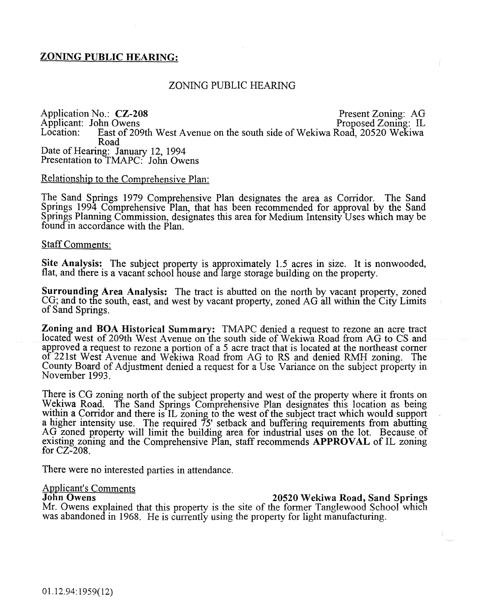# ZONING PUBLIC HEARING:

## ZONING PUBLIC HEARING

Application No.: CZ-208 Present Zoning: AG<br>
Applicant: John Owens Proposed Zoning: IL Applicant: John Owens<br>Location: East of 20 East of 209th West Avenue on the south side of Wekiwa Road, 20520 Wekiwa Road Date of Hearing: January 12, 1994 Presentation to TMAPC: John Owens

# Relationship to the Comprehensive Plan:

The Sand Springs 1979 Comprehensive Plan designates the area as Corridor. The Sand Springs 1994 Comprehensive Plan, that has been recommended for approval by the Sand Springs Planning Commission, designates this area for Medium Intensity Uses which may be found in accordance with the Plan.

#### Staff Comments:

Site Analysis: The subject property is approximately 1.5 acres in size. It is nonwooded, flat, and there is a vacant school house and large storage building on the property.

Surrounding Area Analysis: The tract is abutted on the north by vacant property, zoned CG; and to the south, east, and west by vacant property, zoned AG all within the City Limits of Sand Springs.

Zoning and BOA Historical Summary: TMAPC denied a request to rezone an acre tract located west of 209th West Avenue on the south side of Wekiwa Road from AG to CS and approved a request to rezone a portion of a 5 acre tract that is located at the northeast corner of 221st West Avenue and Wekiwa Road from AG to RS and denied RMH zoning. The County Board of Adjustment denied a request for a Use Variance on the subject property in November 1993.

There is CG zoning north of the subject property and west of the property where it fronts on Wekiwa Road. The Sand Springs Comprehensive Plan designates this location as being within a Corridor and there is IL zoning to the west of the subject tract which would support a higher intensity use. The required 75' setback and buffering requirements from abutting AG zoned property will limit the building area for industrial uses on the lot. Because of existing zoning and the Comprehensive Plan, staff recommends APPROVAL of IL zoning for CZ-208.

There were no interested parties in attendance.

# **Applicant's Comments<br>John Owens**

20520 Wekiwa Road, Sand Springs Mr. Owens explained that this property is the site of the former Tanglewood School which was abandoned in 1968. He is currently using the property for light manufacturing.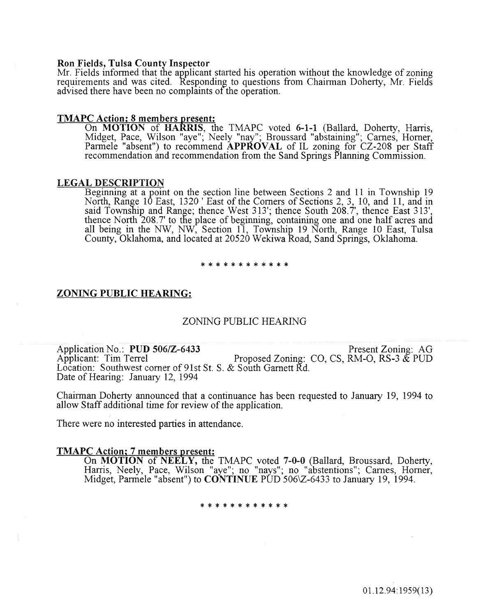#### Ron Fields, Tulsa County Inspector

Mr. Fields informed that the applicant started his operation without the knowledge of zoning requirements and was cited. Responding to questions from Chairman Doherty, Mr. Fields advised there have been no complaints of the operation.

#### TMAPC Action; 8 members present:

On **MOTION** of **HARRIS**, the TMAPC voted 6-1-1 (Ballard, Doherty, Harris, Midget, Pace, Wilson "aye"; Neely "nay"; Broussard "abstaining"; Carnes, Homer, Parmele "absent") to recommend APPROVAL of IL zoning for CZ-208 per Staff recommendation and recommendation from the Sand Springs Planning Commission.

#### LEGAL DESCRIPTION

Beginning at a point on the section line between Sections 2 and 11 in Township 19 North, Range 10 East, 1320 ' East of the Corners of Sections 2, 3, 10, and 11, and in said Township and Range; thence West 313'; thence South 208. 7', thence East 313', thence North 208. 7' to the place of beginning, containing one and one half acres and all being in the NW, NW, Section 11, Township 19 North, Range 10 East, Tulsa County, Oklahoma, and located at 20520 Wekiwa Road, Sand Springs, Oklahoma.

#### \* \* \* \* \* \* \* \* \* \* \* \*

#### ZONING PUBLIC HEARING:

#### ZONING PUBLIC HEARING

Application No.: PUD 506/Z-6433<br>Applicant: Tim Terrel Proposed Zoning: CO, CS, RM-O, RS-3 & PUD Proposed Zoning: CO, CS, RM-O, RS-3  $\&$  PUD Location: Southwest corner of 91st St. S. & South Garnett Rd. Date of Hearing: January 12, 1994

Chairman Doherty announced that a continuance has been requested to January 19, 1994 to allow Staff additional time for review of the application.

There were no interested parties in attendance.

#### TMAPC Action; 7 members present:

On MOTION of NEELY, the TMAPC voted 7-0-0 (Ballard, Broussard, Doherty, Harris, Neely, Pace, Wilson "aye"; no "nays"; no "abstentions"; Carnes, Horner,<br>Midget, Parmele "absent") to **CONTINUE** PUD 506\Z-6433 to January 19, 1994.

\* \* \* \* \* \* \* \* \* \* \*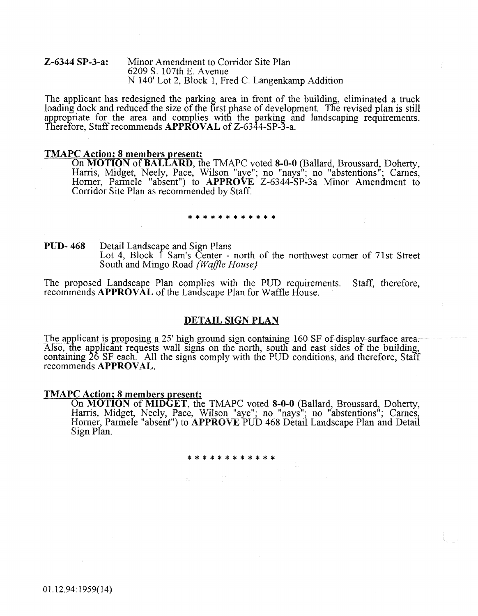#### Z-6344 SP-3-a: Minor Amendment to Corridor Site Plan 6209 S. 107th E. Avenue N 140' Lot 2, Block 1, Fred C. Langenkamp Addition

The applicant has redesigned the parking area in front of the building, eliminated a truck loading dock and reduced the size of the first phase of development. The revised plan is still appropriate for the area and complies with the parking and landscaping requirements. Therefore, Staff recommends APPROVAL of Z-6344-SP-3-a.

#### TMAPC Action; 8 members present:

On MOTION of BALLARD, the TMAPC voted 8-0-0 (Ballard, Broussard, Doherty, Harris, Midget, Neely, Pace, Wilson "aye"; no "nays"; no "abstentions"; Carnes,<br>Horner, Parmele "absent") to APPROVE Z-6344-SP-3a Minor Amendment to Corridor Site Plan as recommended by Staff.

#### \*\*\*\*\*\*\*\*\*\*\*\*

PUD- 468 Detail Landscape and Sign Plans Lot 4, Block 1 Sam's Center - north of the northwest corner of 71st Street South and Mingo Road *{Waffle House}* 

The proposed Landscape Plan complies with the PUD requirements. Staff, therefore, recommends APPROVAL of the Landscape Plan for Waffle House.

#### DETAIL SIGN PLAN

The applicant is proposing a 25' high ground sign containing 160 SF of display surface area. Also, the applicant requests wall signs on the north, south and east sides of the building, containing 26 SF each. All the signs comply with the PUD conditions, and therefore, Staff recommends APPROVAL.

#### **TMAPC Action; 8 members present:**

On MOTION of MIDGET, the TMAPC voted 8-0-0 (Ballard, Broussard, Doherty, Harris, Midget, Neely, Pace, Wilson "aye"; no "nays"; no "abstentions"; Carnes,<br>Horner, Parmele "absent") to APPROVE PUD 468 Detail Landscape Plan and Detail Sign Plan.

\*\*\*\*\*\*\*\*\*\*\*\*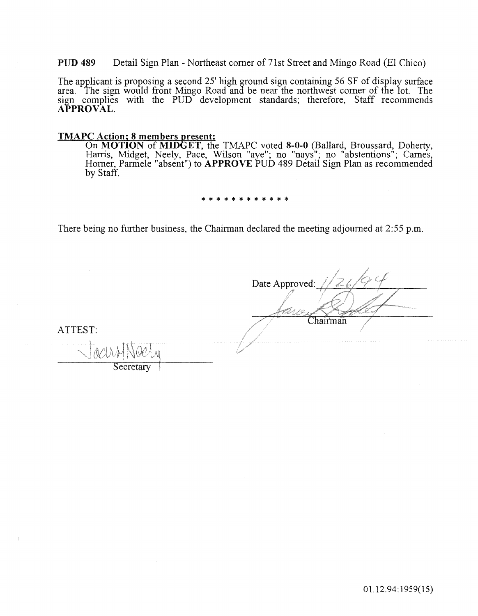PUD 489 Detail Sign Plan - Northeast corner of 71st Street and Mingo Road (El Chico)

The applicant is proposing a second 25' high ground sign containing 56 SF of display surface area. The sign would front Mingo Road and be near the northwest comer of the lot. The sign complies with the PUD development standards; therefore, Staff recommends APPROVAL.

# **TMAPC Action; 8 members present:**

On MOTION of MIDET, the TMAPC voted 8-0-0 (Ballard, Broussard, Doherty, Harris, Midget, Neely, Pace, Wilson "aye"; no "nays"; no "abstentions"; Carnes, Homer, Parmele "absent") to APPROVE PUD 489 Detail Sign Plan as recommended by Staff.

\* \* \* \* \* \* \* \* \* \* \* \*

There being no further business, the Chairman declared the meeting adjourned at  $2:55$  p.m.

Date Approved: Chairman ATTEST: